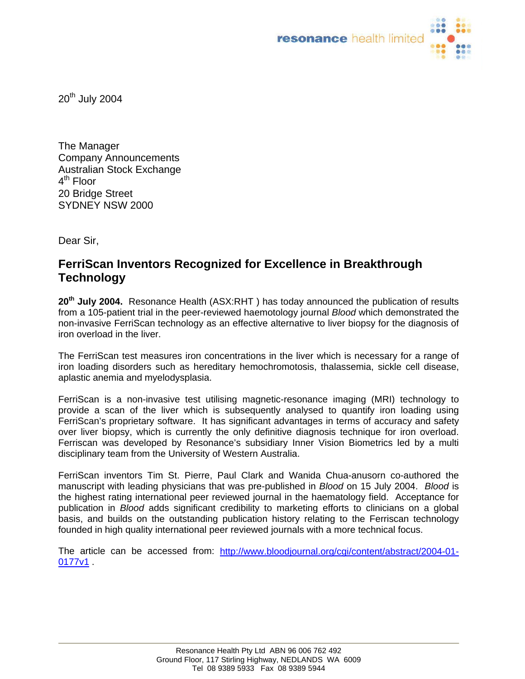

20<sup>th</sup> July 2004

The Manager Company Announcements Australian Stock Exchange  $4^{\text{th}}$  Floor 20 Bridge Street SYDNEY NSW 2000

Dear Sir,

## **FerriScan Inventors Recognized for Excellence in Breakthrough Technology**

**20th July 2004.** Resonance Health (ASX:RHT ) has today announced the publication of results from a 105-patient trial in the peer-reviewed haemotology journal *Blood* which demonstrated the non-invasive FerriScan technology as an effective alternative to liver biopsy for the diagnosis of iron overload in the liver.

The FerriScan test measures iron concentrations in the liver which is necessary for a range of iron loading disorders such as hereditary hemochromotosis, thalassemia, sickle cell disease, aplastic anemia and myelodysplasia.

FerriScan is a non-invasive test utilising magnetic-resonance imaging (MRI) technology to provide a scan of the liver which is subsequently analysed to quantify iron loading using FerriScan's proprietary software. It has significant advantages in terms of accuracy and safety over liver biopsy, which is currently the only definitive diagnosis technique for iron overload. Ferriscan was developed by Resonance's subsidiary Inner Vision Biometrics led by a multi disciplinary team from the University of Western Australia.

FerriScan inventors Tim St. Pierre, Paul Clark and Wanida Chua-anusorn co-authored the manuscript with leading physicians that was pre-published in *Blood* on 15 July 2004. *Blood* is the highest rating international peer reviewed journal in the haematology field. Acceptance for publication in *Blood* adds significant credibility to marketing efforts to clinicians on a global basis, and builds on the outstanding publication history relating to the Ferriscan technology founded in high quality international peer reviewed journals with a more technical focus.

The article can be accessed from: [http://www.bloodjournal.org/cgi/content/abstract/2004-01-](http://www.bloodjournal.org/cgi/content/abstract/2004-01-0177v1) 0177<sub>v1</sub>